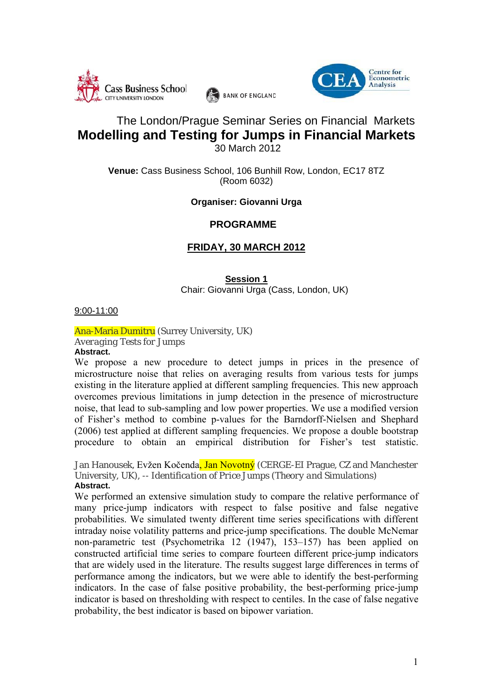



# The London/Prague Seminar Series on Financial Markets **Modelling and Testing for Jumps in Financial Markets**  30 March 2012

**BANK OF ENGLAND** 

**Venue:** Cass Business School, 106 Bunhill Row, London, EC17 8TZ (Room 6032)

### **Organiser: Giovanni Urga**

### **PROGRAMME**

## **FRIDAY, 30 MARCH 2012**

#### **Session 1** Chair: Giovanni Urga (Cass, London, UK)

9:00-11:00

Ana-Maria Dumitru (Surrey University, UK) *Averaging Tests for Jumps*

**Abstract.** We propose a new procedure to detect jumps in prices in the presence of microstructure noise that relies on averaging results from various tests for jumps existing in the literature applied at different sampling frequencies. This new approach overcomes previous limitations in jump detection in the presence of microstructure noise, that lead to sub-sampling and low power properties. We use a modified version of Fisher's method to combine p-values for the Barndorff-Nielsen and Shephard (2006) test applied at different sampling frequencies. We propose a double bootstrap

Jan Hanousek, Evžen Kočenda, Jan Novotný (CERGE-EI Prague, CZ and Manchester University, UK), -- *Identification of Price Jumps (Theory and Simulations)* **Abstract.** 

procedure to obtain an empirical distribution for Fisher's test statistic.

We performed an extensive simulation study to compare the relative performance of many price-jump indicators with respect to false positive and false negative probabilities. We simulated twenty different time series specifications with different intraday noise volatility patterns and price-jump specifications. The double McNemar non-parametric test (Psychometrika 12 (1947), 153–157) has been applied on constructed artificial time series to compare fourteen different price-jump indicators that are widely used in the literature. The results suggest large differences in terms of performance among the indicators, but we were able to identify the best-performing indicators. In the case of false positive probability, the best-performing price-jump indicator is based on thresholding with respect to centiles. In the case of false negative probability, the best indicator is based on bipower variation.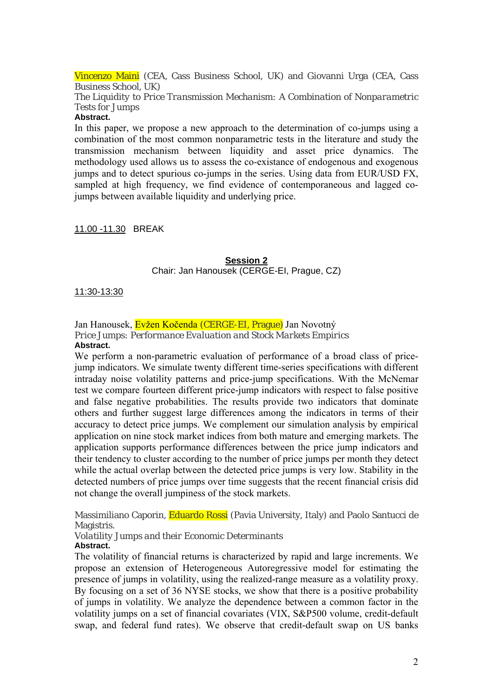Vincenzo Maini (CEA, Cass Business School, UK) and Giovanni Urga (CEA, Cass Business School, UK)

*The Liquidity to Price Transmission Mechanism: A Combination of Nonparametric Tests for Jumps*

### **Abstract.**

In this paper, we propose a new approach to the determination of co-jumps using a combination of the most common nonparametric tests in the literature and study the transmission mechanism between liquidity and asset price dynamics. The methodology used allows us to assess the co-existance of endogenous and exogenous jumps and to detect spurious co-jumps in the series. Using data from EUR/USD FX, sampled at high frequency, we find evidence of contemporaneous and lagged cojumps between available liquidity and underlying price.

11.00 -11.30 BREAK

## **Session 2** Chair: Jan Hanousek (CERGE-EI, Prague, CZ)

### 11:30-13:30

Jan Hanousek, Evžen Kočenda (CERGE-EI, Prague) Jan Novotný *Price Jumps: Performance Evaluation and Stock Markets Empirics*  **Abstract.** 

We perform a non-parametric evaluation of performance of a broad class of pricejump indicators. We simulate twenty different time-series specifications with different intraday noise volatility patterns and price-jump specifications. With the McNemar test we compare fourteen different price-jump indicators with respect to false positive and false negative probabilities. The results provide two indicators that dominate others and further suggest large differences among the indicators in terms of their accuracy to detect price jumps. We complement our simulation analysis by empirical application on nine stock market indices from both mature and emerging markets. The application supports performance differences between the price jump indicators and their tendency to cluster according to the number of price jumps per month they detect while the actual overlap between the detected price jumps is very low. Stability in the detected numbers of price jumps over time suggests that the recent financial crisis did not change the overall jumpiness of the stock markets.

Massimiliano Caporin, Eduardo Rossi (Pavia University, Italy) and Paolo Santucci de Magistris.

#### *Volatility Jumps and their Economic Determinants* **Abstract.**

The volatility of financial returns is characterized by rapid and large increments. We propose an extension of Heterogeneous Autoregressive model for estimating the presence of jumps in volatility, using the realized-range measure as a volatility proxy. By focusing on a set of 36 NYSE stocks, we show that there is a positive probability of jumps in volatility. We analyze the dependence between a common factor in the volatility jumps on a set of financial covariates (VIX, S&P500 volume, credit-default swap, and federal fund rates). We observe that credit-default swap on US banks